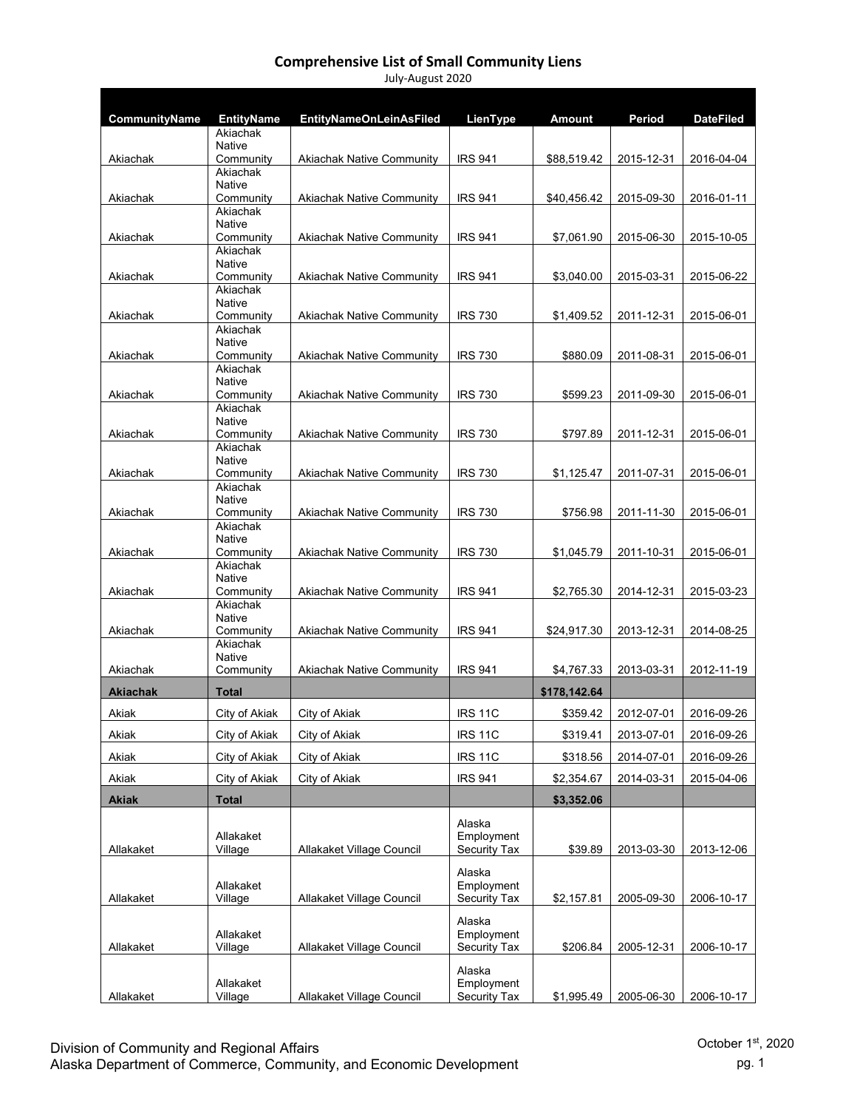| CommunityName   | <b>EntityName</b><br>Akiachak | <b>EntityNameOnLeinAsFiled</b>   | LienType                   | Amount       | Period     | <b>DateFiled</b> |
|-----------------|-------------------------------|----------------------------------|----------------------------|--------------|------------|------------------|
|                 | Native                        |                                  |                            |              |            |                  |
| Akiachak        | Community                     | <b>Akiachak Native Community</b> | <b>IRS 941</b>             | \$88,519.42  | 2015-12-31 | 2016-04-04       |
|                 | Akiachak<br>Native            |                                  |                            |              |            |                  |
| Akiachak        | Community                     | Akiachak Native Community        | <b>IRS 941</b>             | \$40,456.42  | 2015-09-30 | 2016-01-11       |
|                 | Akiachak<br>Native            |                                  |                            |              |            |                  |
| Akiachak        | Community                     | <b>Akiachak Native Community</b> | <b>IRS 941</b>             | \$7.061.90   | 2015-06-30 | 2015-10-05       |
|                 | Akiachak                      |                                  |                            |              |            |                  |
| Akiachak        | Native<br>Community           | <b>Akiachak Native Community</b> | <b>IRS 941</b>             | \$3,040.00   | 2015-03-31 | 2015-06-22       |
|                 | Akiachak                      |                                  |                            |              |            |                  |
| Akiachak        | <b>Native</b><br>Community    | <b>Akiachak Native Community</b> | <b>IRS 730</b>             | \$1,409.52   | 2011-12-31 | 2015-06-01       |
|                 | Akiachak                      |                                  |                            |              |            |                  |
|                 | Native                        |                                  |                            |              |            |                  |
| Akiachak        | Community<br>Akiachak         | <b>Akiachak Native Community</b> | <b>IRS 730</b>             | \$880.09     | 2011-08-31 | 2015-06-01       |
|                 | Native                        |                                  |                            |              |            |                  |
| Akiachak        | Community<br>Akiachak         | <b>Akiachak Native Community</b> | <b>IRS 730</b>             | \$599.23     | 2011-09-30 | 2015-06-01       |
|                 | <b>Native</b>                 |                                  |                            |              |            |                  |
| Akiachak        | Community                     | <b>Akiachak Native Community</b> | <b>IRS 730</b>             | \$797.89     | 2011-12-31 | 2015-06-01       |
|                 | Akiachak<br>Native            |                                  |                            |              |            |                  |
| Akiachak        | Community                     | <b>Akiachak Native Community</b> | <b>IRS 730</b>             | \$1,125.47   | 2011-07-31 | 2015-06-01       |
|                 | Akiachak<br>Native            |                                  |                            |              |            |                  |
| Akiachak        | Community                     | <b>Akiachak Native Community</b> | <b>IRS 730</b>             | \$756.98     | 2011-11-30 | 2015-06-01       |
|                 | Akiachak                      |                                  |                            |              |            |                  |
| Akiachak        | <b>Native</b><br>Community    | Akiachak Native Community        | <b>IRS 730</b>             | \$1,045.79   | 2011-10-31 | 2015-06-01       |
|                 | Akiachak                      |                                  |                            |              |            |                  |
| Akiachak        | Native<br>Community           | <b>Akiachak Native Community</b> | <b>IRS 941</b>             | \$2,765.30   | 2014-12-31 | 2015-03-23       |
|                 | Akiachak                      |                                  |                            |              |            |                  |
|                 | Native                        |                                  |                            |              |            |                  |
| Akiachak        | Community<br>Akiachak         | <b>Akiachak Native Community</b> | <b>IRS 941</b>             | \$24,917.30  | 2013-12-31 | 2014-08-25       |
|                 | Native                        |                                  |                            |              |            |                  |
| Akiachak        | Community                     | <b>Akiachak Native Community</b> | <b>IRS 941</b>             | \$4,767.33   | 2013-03-31 | 2012-11-19       |
| <b>Akiachak</b> | Total                         |                                  |                            | \$178,142.64 |            |                  |
| Akiak           | City of Akiak                 | City of Akiak                    | <b>IRS 11C</b>             | \$359.42     | 2012-07-01 | 2016-09-26       |
| Akiak           | City of Akiak                 | City of Akiak                    | <b>IRS 11C</b>             | \$319.41     | 2013-07-01 | 2016-09-26       |
| Akiak           | City of Akiak                 | City of Akiak                    | <b>IRS 11C</b>             | \$318.56     | 2014-07-01 | 2016-09-26       |
| Akiak           | City of Akiak                 | City of Akiak                    | <b>IRS 941</b>             | \$2,354.67   | 2014-03-31 | 2015-04-06       |
| <b>Akiak</b>    | Total                         |                                  |                            | \$3,352.06   |            |                  |
|                 |                               |                                  | Alaska                     |              |            |                  |
|                 | Allakaket                     |                                  | Employment                 |              |            |                  |
| Allakaket       | Village                       | Allakaket Village Council        | Security Tax               | \$39.89      | 2013-03-30 | 2013-12-06       |
|                 |                               |                                  | Alaska                     |              |            |                  |
| Allakaket       | Allakaket<br>Village          | Allakaket Village Council        | Employment<br>Security Tax | \$2,157.81   | 2005-09-30 | 2006-10-17       |
|                 |                               |                                  |                            |              |            |                  |
|                 | Allakaket                     |                                  | Alaska<br>Employment       |              |            |                  |
| Allakaket       | Village                       | Allakaket Village Council        | Security Tax               | \$206.84     | 2005-12-31 | 2006-10-17       |
|                 |                               |                                  | Alaska                     |              |            |                  |
|                 | Allakaket                     |                                  | Employment                 |              |            |                  |
| Allakaket       | Village                       | Allakaket Village Council        | Security Tax               | \$1,995.49   | 2005-06-30 | 2006-10-17       |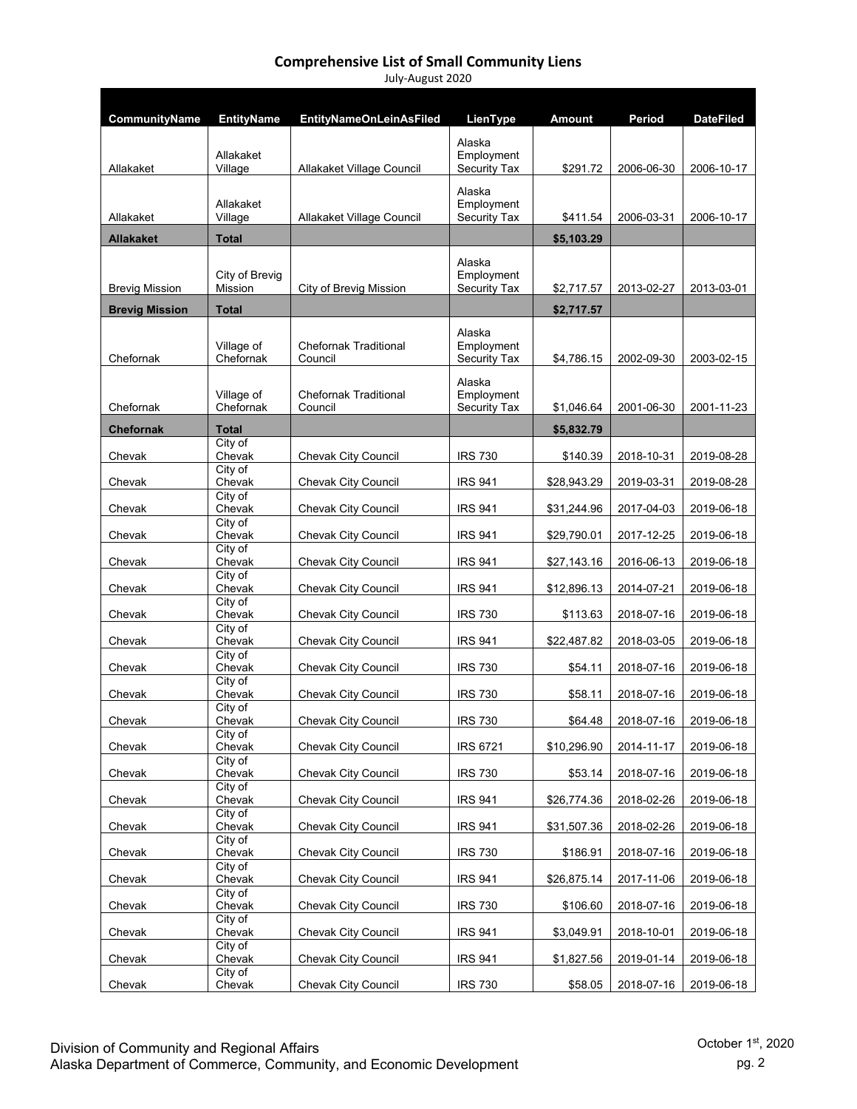| CommunityName         | <b>EntityName</b>                | <b>EntityNameOnLeinAsFiled</b>          | LienType                                    | Amount      | <b>Period</b> | <b>DateFiled</b> |
|-----------------------|----------------------------------|-----------------------------------------|---------------------------------------------|-------------|---------------|------------------|
| Allakaket             | Allakaket<br>Village             | Allakaket Village Council               | Alaska<br>Employment<br><b>Security Tax</b> | \$291.72    | 2006-06-30    | 2006-10-17       |
| Allakaket             | Allakaket<br>Village             | Allakaket Village Council               | Alaska<br>Employment<br><b>Security Tax</b> | \$411.54    | 2006-03-31    | 2006-10-17       |
| <b>Allakaket</b>      | <b>Total</b>                     |                                         |                                             | \$5,103.29  |               |                  |
|                       |                                  |                                         |                                             |             |               |                  |
| <b>Brevig Mission</b> | City of Brevig<br><b>Mission</b> | City of Brevig Mission                  | Alaska<br>Employment<br><b>Security Tax</b> | \$2,717.57  | 2013-02-27    | 2013-03-01       |
| <b>Brevig Mission</b> | <b>Total</b>                     |                                         |                                             | \$2,717.57  |               |                  |
| Chefornak             | Village of<br>Chefornak          | <b>Chefornak Traditional</b><br>Council | Alaska<br>Employment<br><b>Security Tax</b> | \$4,786.15  | 2002-09-30    | 2003-02-15       |
| Chefornak             | Village of<br>Chefornak          | <b>Chefornak Traditional</b><br>Council | Alaska<br>Employment<br><b>Security Tax</b> | \$1,046.64  | 2001-06-30    | 2001-11-23       |
| <b>Chefornak</b>      | <b>Total</b>                     |                                         |                                             | \$5,832.79  |               |                  |
| Chevak                | City of<br>Chevak                | Chevak City Council                     | <b>IRS 730</b>                              | \$140.39    | 2018-10-31    | 2019-08-28       |
| Chevak                | $\overline{City}$ of<br>Chevak   | Chevak City Council                     | <b>IRS 941</b>                              | \$28,943.29 | 2019-03-31    | 2019-08-28       |
|                       | City of<br>Chevak                |                                         |                                             |             |               |                  |
| Chevak                | City of                          | <b>Chevak City Council</b>              | <b>IRS 941</b>                              | \$31,244.96 | 2017-04-03    | 2019-06-18       |
| Chevak                | Chevak                           | Chevak City Council                     | <b>IRS 941</b>                              | \$29,790.01 | 2017-12-25    | 2019-06-18       |
| Chevak                | City of<br>Chevak<br>City of     | Chevak City Council                     | <b>IRS 941</b>                              | \$27,143.16 | 2016-06-13    | 2019-06-18       |
| Chevak                | Chevak                           | Chevak City Council                     | <b>IRS 941</b>                              | \$12,896.13 | 2014-07-21    | 2019-06-18       |
| Chevak                | City of<br>Chevak<br>City of     | Chevak City Council                     | <b>IRS 730</b>                              | \$113.63    | 2018-07-16    | 2019-06-18       |
| Chevak                | Chevak                           | Chevak City Council                     | <b>IRS 941</b>                              | \$22,487.82 | 2018-03-05    | 2019-06-18       |
| Chevak                | City of<br>Chevak<br>City of     | <b>Chevak City Council</b>              | <b>IRS 730</b>                              | \$54.11     | 2018-07-16    | 2019-06-18       |
| Chevak                | Chevak                           | Chevak City Council                     | <b>IRS 730</b>                              | \$58.11     | 2018-07-16    | 2019-06-18       |
| Chevak                | City of<br>Chevak                | Chevak City Council                     | <b>IRS 730</b>                              | \$64.48     | 2018-07-16    | 2019-06-18       |
| Chevak                | City of<br>Chevak                | <b>Chevak City Council</b>              | <b>IRS 6721</b>                             | \$10,296.90 | 2014-11-17    | 2019-06-18       |
| Chevak                | City of<br>Chevak                | <b>Chevak City Council</b>              | <b>IRS 730</b>                              | \$53.14     | 2018-07-16    | 2019-06-18       |
| Chevak                | City of<br>Chevak                | <b>Chevak City Council</b>              | <b>IRS 941</b>                              | \$26,774.36 | 2018-02-26    | 2019-06-18       |
| Chevak                | $\overline{C}$ ity of<br>Chevak  | Chevak City Council                     | <b>IRS 941</b>                              | \$31,507.36 | 2018-02-26    | 2019-06-18       |
| Chevak                | City of<br>Chevak                | Chevak City Council                     | <b>IRS 730</b>                              | \$186.91    | 2018-07-16    | 2019-06-18       |
| Chevak                | City of<br>Chevak                | <b>Chevak City Council</b>              | <b>IRS 941</b>                              | \$26,875.14 | 2017-11-06    | 2019-06-18       |
| Chevak                | City of<br>Chevak                | <b>Chevak City Council</b>              | <b>IRS 730</b>                              | \$106.60    | 2018-07-16    | 2019-06-18       |
| Chevak                | City of<br>Chevak                | <b>Chevak City Council</b>              | <b>IRS 941</b>                              | \$3,049.91  | 2018-10-01    | 2019-06-18       |
| Chevak                | City of<br>Chevak                | Chevak City Council                     | <b>IRS 941</b>                              | \$1,827.56  | 2019-01-14    | 2019-06-18       |
| Chevak                | City of<br>Chevak                | Chevak City Council                     | <b>IRS 730</b>                              | \$58.05     | 2018-07-16    | 2019-06-18       |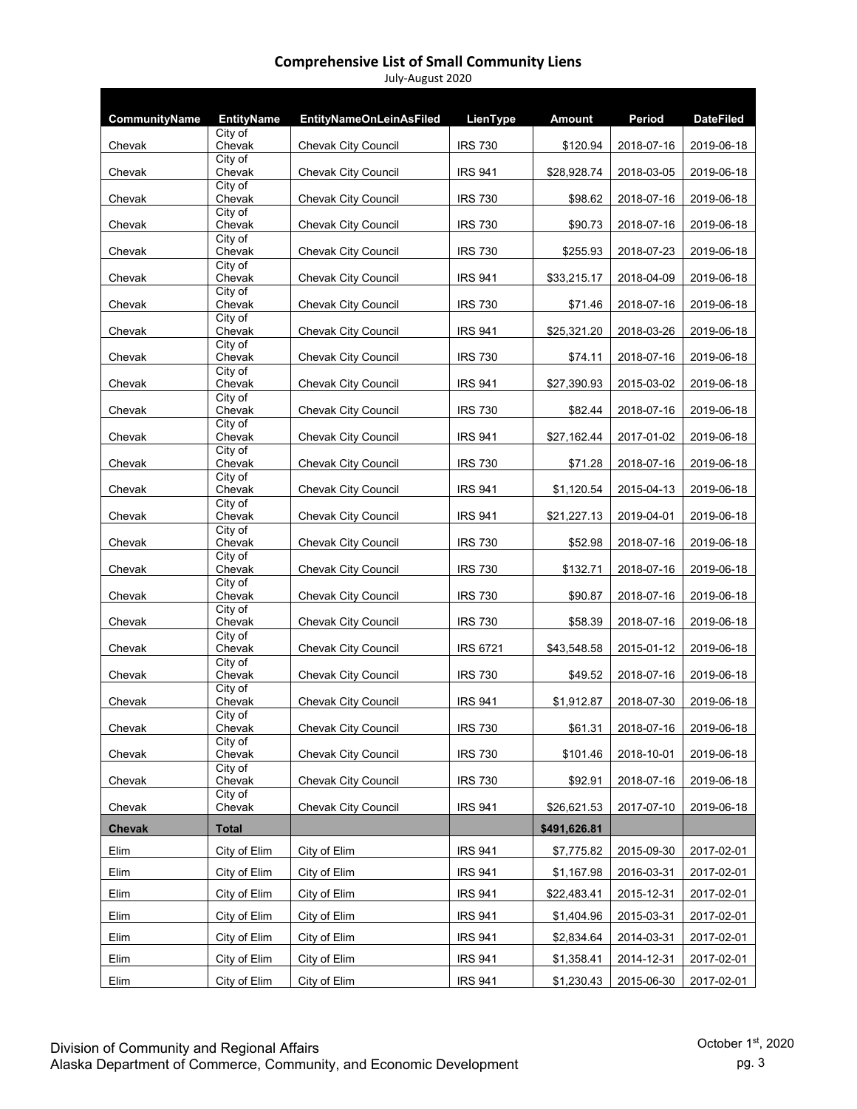| CommunityName | <b>EntityName</b>              | <b>EntityNameOnLeinAsFiled</b> | <b>LienType</b>                  | <b>Amount</b> | Period     | <b>DateFiled</b> |
|---------------|--------------------------------|--------------------------------|----------------------------------|---------------|------------|------------------|
|               | City of                        |                                |                                  |               |            |                  |
| Chevak        | Chevak<br>City of              | Chevak City Council            | <b>IRS 730</b>                   | \$120.94      | 2018-07-16 | 2019-06-18       |
| Chevak        | Chevak                         | <b>Chevak City Council</b>     | <b>IRS 941</b>                   | \$28,928.74   | 2018-03-05 | 2019-06-18       |
| Chevak        | City of<br>Chevak              | Chevak City Council            | <b>IRS 730</b>                   | \$98.62       | 2018-07-16 | 2019-06-18       |
| Chevak        | City of<br>Chevak              | Chevak City Council            | <b>IRS 730</b>                   | \$90.73       | 2018-07-16 | 2019-06-18       |
| Chevak        | City of<br>Chevak              | <b>Chevak City Council</b>     | <b>IRS 730</b>                   | \$255.93      | 2018-07-23 | 2019-06-18       |
| Chevak        | City of<br>Chevak              | Chevak City Council            | <b>IRS 941</b>                   | \$33,215.17   | 2018-04-09 | 2019-06-18       |
| Chevak        | City of<br>Chevak              | <b>Chevak City Council</b>     | <b>IRS 730</b>                   | \$71.46       | 2018-07-16 | 2019-06-18       |
| Chevak        | City of<br>Chevak              | <b>Chevak City Council</b>     | <b>IRS 941</b>                   | \$25,321.20   | 2018-03-26 | 2019-06-18       |
| Chevak        | City of<br>Chevak              | Chevak City Council            | <b>IRS 730</b>                   | \$74.11       | 2018-07-16 | 2019-06-18       |
| Chevak        | City of<br>Chevak              | <b>Chevak City Council</b>     | <b>IRS 941</b>                   | \$27,390.93   | 2015-03-02 | 2019-06-18       |
| Chevak        | City of<br>Chevak              | Chevak City Council            | <b>IRS 730</b>                   | \$82.44       | 2018-07-16 | 2019-06-18       |
| Chevak        | City of<br>Chevak              | <b>Chevak City Council</b>     | <b>IRS 941</b>                   | \$27,162.44   | 2017-01-02 | 2019-06-18       |
| Chevak        | City of<br>Chevak              | <b>Chevak City Council</b>     | <b>IRS 730</b>                   | \$71.28       | 2018-07-16 | 2019-06-18       |
| Chevak        | City of<br>Chevak              | <b>Chevak City Council</b>     | <b>IRS 941</b>                   | \$1,120.54    | 2015-04-13 | 2019-06-18       |
|               | City of<br>Chevak              | Chevak City Council            | <b>IRS 941</b>                   | \$21,227.13   | 2019-04-01 | 2019-06-18       |
| Chevak        | City of                        |                                |                                  |               |            |                  |
| Chevak        | Chevak<br>City of              | Chevak City Council            | <b>IRS 730</b>                   | \$52.98       | 2018-07-16 | 2019-06-18       |
| Chevak        | Chevak<br>City of              | <b>Chevak City Council</b>     | <b>IRS 730</b><br><b>IRS 730</b> | \$132.71      | 2018-07-16 | 2019-06-18       |
| Chevak        | Chevak<br>City of              | <b>Chevak City Council</b>     |                                  | \$90.87       | 2018-07-16 | 2019-06-18       |
| Chevak        | Chevak<br>City of              | <b>Chevak City Council</b>     | <b>IRS 730</b>                   | \$58.39       | 2018-07-16 | 2019-06-18       |
| Chevak        | Chevak<br>City of              | <b>Chevak City Council</b>     | <b>IRS 6721</b>                  | \$43,548.58   | 2015-01-12 | 2019-06-18       |
| Chevak        | Chevak<br>City of              | <b>Chevak City Council</b>     | <b>IRS 730</b>                   | \$49.52       | 2018-07-16 | 2019-06-18       |
| Chevak        | Chevak<br>City of              | Chevak City Council            | <b>IRS 941</b>                   | \$1,912.87    | 2018-07-30 | 2019-06-18       |
| Chevak        | Chevak<br>$\overline{City}$ of | Chevak City Council            | <b>IRS 730</b>                   | \$61.31       | 2018-07-16 | 2019-06-18       |
| Chevak        | Chevak                         | Chevak City Council            | <b>IRS 730</b>                   | \$101.46      | 2018-10-01 | 2019-06-18       |
| Chevak        | City of<br>Chevak              | Chevak City Council            | <b>IRS 730</b>                   | \$92.91       | 2018-07-16 | 2019-06-18       |
| Chevak        | City of<br>Chevak              | <b>Chevak City Council</b>     | <b>IRS 941</b>                   | \$26,621.53   | 2017-07-10 | 2019-06-18       |
| <b>Chevak</b> | <b>Total</b>                   |                                |                                  | \$491,626.81  |            |                  |
| Elim          | City of Elim                   | City of Elim                   | <b>IRS 941</b>                   | \$7,775.82    | 2015-09-30 | 2017-02-01       |
| Elim          | City of Elim                   | City of Elim                   | <b>IRS 941</b>                   | \$1,167.98    | 2016-03-31 | 2017-02-01       |
| Elim          | City of Elim                   | City of Elim                   | <b>IRS 941</b>                   | \$22,483.41   | 2015-12-31 | 2017-02-01       |
| Elim          | City of Elim                   | City of Elim                   | <b>IRS 941</b>                   | \$1,404.96    | 2015-03-31 | 2017-02-01       |
| Elim          | City of Elim                   | City of Elim                   | <b>IRS 941</b>                   | \$2,834.64    | 2014-03-31 | 2017-02-01       |
| Elim          | City of Elim                   | City of Elim                   | <b>IRS 941</b>                   | \$1,358.41    | 2014-12-31 | 2017-02-01       |
| Elim          | City of Elim                   | City of Elim                   | <b>IRS 941</b>                   | \$1,230.43    | 2015-06-30 | 2017-02-01       |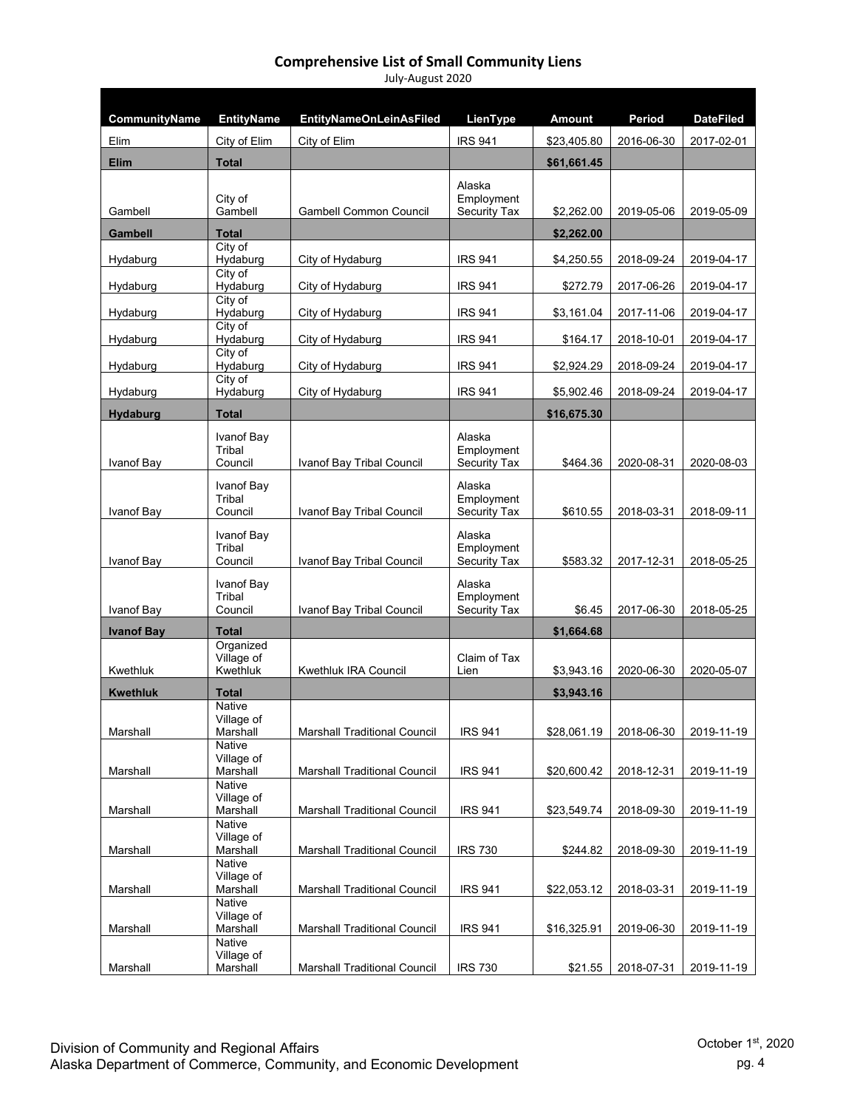| CommunityName     | <b>EntityName</b>         | <b>EntityNameOnLeinAsFiled</b>      | LienType                          | <b>Amount</b> | Period     | <b>DateFiled</b> |
|-------------------|---------------------------|-------------------------------------|-----------------------------------|---------------|------------|------------------|
| Elim              | City of Elim              | City of Elim                        | <b>IRS 941</b>                    | \$23,405.80   | 2016-06-30 | 2017-02-01       |
| <b>Elim</b>       | <b>Total</b>              |                                     |                                   | \$61,661.45   |            |                  |
|                   |                           |                                     | Alaska                            |               |            |                  |
| Gambell           | City of<br>Gambell        | <b>Gambell Common Council</b>       | Employment<br>Security Tax        | \$2,262.00    | 2019-05-06 | 2019-05-09       |
| <b>Gambell</b>    | <b>Total</b>              |                                     |                                   | \$2,262.00    |            |                  |
|                   | City of<br>Hydaburg       | City of Hydaburg                    | <b>IRS 941</b>                    | \$4,250.55    | 2018-09-24 | 2019-04-17       |
| Hydaburg          | City of                   |                                     |                                   |               |            |                  |
| Hydaburg          | Hydaburg<br>City of       | City of Hydaburg                    | <b>IRS 941</b>                    | \$272.79      | 2017-06-26 | 2019-04-17       |
| Hydaburg          | Hydaburg                  | City of Hydaburg                    | <b>IRS 941</b>                    | \$3,161.04    | 2017-11-06 | 2019-04-17       |
| Hydaburg          | City of<br>Hydaburg       | City of Hydaburg                    | <b>IRS 941</b>                    | \$164.17      | 2018-10-01 | 2019-04-17       |
| Hydaburg          | City of<br>Hydaburg       | City of Hydaburg                    | <b>IRS 941</b>                    | \$2,924.29    | 2018-09-24 | 2019-04-17       |
|                   | City of                   |                                     |                                   |               |            |                  |
| Hydaburg          | Hydaburg                  | City of Hydaburg                    | <b>IRS 941</b>                    | \$5,902.46    | 2018-09-24 | 2019-04-17       |
| Hydaburg          | <b>Total</b>              |                                     |                                   | \$16,675.30   |            |                  |
|                   | Ivanof Bay                |                                     | Alaska                            |               |            |                  |
| Ivanof Bay        | Tribal<br>Council         | Ivanof Bay Tribal Council           | Employment<br><b>Security Tax</b> | \$464.36      | 2020-08-31 | 2020-08-03       |
|                   | Ivanof Bay                |                                     | Alaska                            |               |            |                  |
| Ivanof Bay        | Tribal<br>Council         | Ivanof Bay Tribal Council           | Employment<br><b>Security Tax</b> | \$610.55      | 2018-03-31 | 2018-09-11       |
|                   |                           |                                     |                                   |               |            |                  |
|                   | Ivanof Bay<br>Tribal      |                                     | Alaska<br>Employment              |               |            |                  |
| Ivanof Bay        | Council                   | Ivanof Bay Tribal Council           | Security Tax                      | \$583.32      | 2017-12-31 | 2018-05-25       |
|                   | Ivanof Bay                |                                     | Alaska                            |               |            |                  |
| Ivanof Bay        | Tribal<br>Council         | Ivanof Bay Tribal Council           | Employment<br>Security Tax        | \$6.45        | 2017-06-30 | 2018-05-25       |
| <b>Ivanof Bay</b> | <b>Total</b>              |                                     |                                   | \$1,664.68    |            |                  |
|                   | Organized<br>Village of   |                                     | Claim of Tax                      |               |            |                  |
| Kwethluk          | Kwethluk                  | <b>Kwethluk IRA Council</b>         | Lien                              | \$3,943.16    | 2020-06-30 | 2020-05-07       |
| <b>Kwethluk</b>   | <b>Total</b>              |                                     |                                   | \$3,943.16    |            |                  |
|                   | Native<br>Village of      |                                     |                                   |               |            |                  |
| Marshall          | Marshall                  | <b>Marshall Traditional Council</b> | <b>IRS 941</b>                    | \$28,061.19   | 2018-06-30 | 2019-11-19       |
|                   | Native<br>Village of      |                                     |                                   |               |            |                  |
| Marshall          | Marshall<br><b>Native</b> | <b>Marshall Traditional Council</b> | <b>IRS 941</b>                    | \$20,600.42   | 2018-12-31 | 2019-11-19       |
|                   | Village of                |                                     |                                   |               |            |                  |
| Marshall          | Marshall<br><b>Native</b> | <b>Marshall Traditional Council</b> | <b>IRS 941</b>                    | \$23,549.74   | 2018-09-30 | 2019-11-19       |
|                   | Village of                |                                     |                                   |               |            |                  |
| Marshall          | Marshall<br>Native        | <b>Marshall Traditional Council</b> | <b>IRS 730</b>                    | \$244.82      | 2018-09-30 | 2019-11-19       |
|                   | Village of                | <b>Marshall Traditional Council</b> | <b>IRS 941</b>                    | \$22,053.12   |            |                  |
| Marshall          | Marshall<br>Native        |                                     |                                   |               | 2018-03-31 | 2019-11-19       |
| Marshall          | Village of<br>Marshall    | Marshall Traditional Council        | <b>IRS 941</b>                    | \$16,325.91   | 2019-06-30 | 2019-11-19       |
|                   | Native                    |                                     |                                   |               |            |                  |
| Marshall          | Village of<br>Marshall    | <b>Marshall Traditional Council</b> | <b>IRS 730</b>                    | \$21.55       | 2018-07-31 | 2019-11-19       |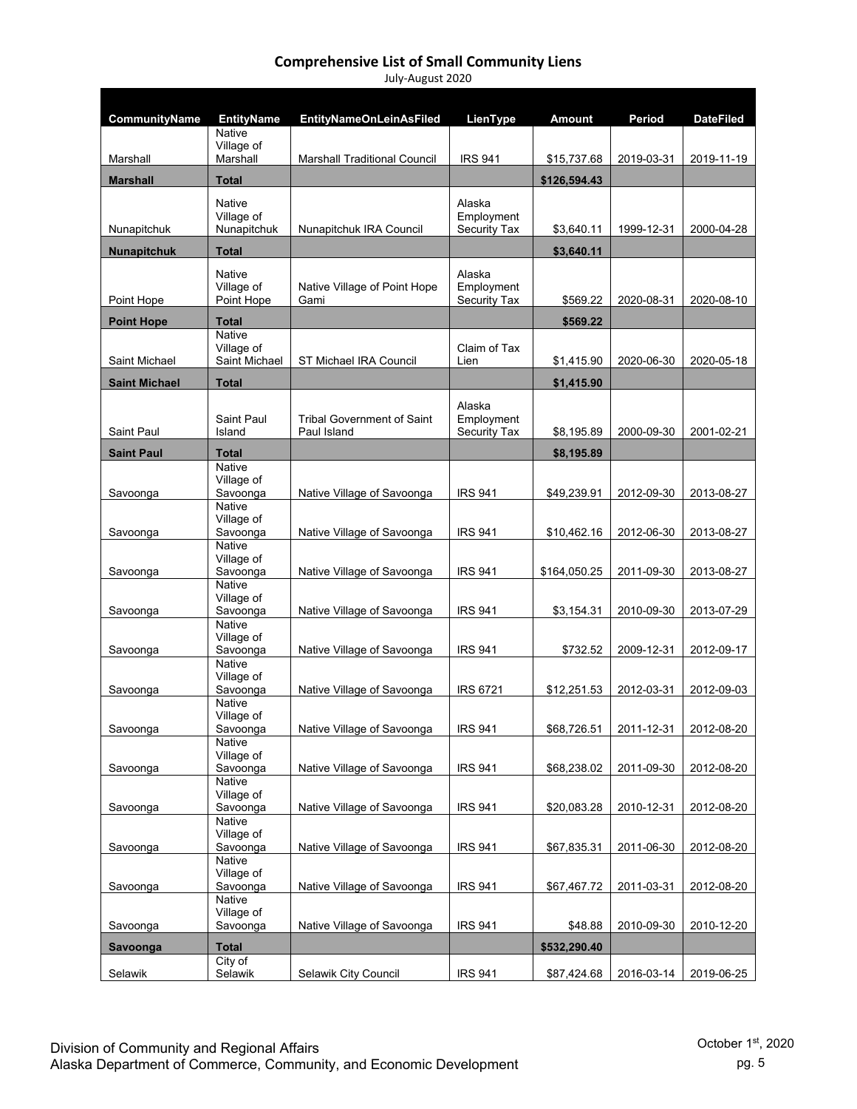| CommunityName        | <b>EntityName</b><br><b>Native</b>                | <b>EntityNameOnLeinAsFiled</b>                   | LienType                                    | <b>Amount</b> | Period     | <b>DateFiled</b> |
|----------------------|---------------------------------------------------|--------------------------------------------------|---------------------------------------------|---------------|------------|------------------|
| Marshall             | Village of<br>Marshall                            | <b>Marshall Traditional Council</b>              | <b>IRS 941</b>                              | \$15,737.68   | 2019-03-31 | 2019-11-19       |
| <b>Marshall</b>      | <b>Total</b>                                      |                                                  |                                             | \$126,594.43  |            |                  |
|                      | <b>Native</b>                                     |                                                  | Alaska                                      |               |            |                  |
| Nunapitchuk          | Village of<br>Nunapitchuk                         | Nunapitchuk IRA Council                          | Employment<br>Security Tax                  | \$3,640.11    | 1999-12-31 | 2000-04-28       |
| <b>Nunapitchuk</b>   | <b>Total</b>                                      |                                                  |                                             | \$3,640.11    |            |                  |
| Point Hope           | <b>Native</b><br>Village of<br>Point Hope         | Native Village of Point Hope<br>Gami             | Alaska<br>Employment<br><b>Security Tax</b> | \$569.22      | 2020-08-31 | 2020-08-10       |
|                      |                                                   |                                                  |                                             |               |            |                  |
| <b>Point Hope</b>    | <b>Total</b><br>Native                            |                                                  |                                             | \$569.22      |            |                  |
| Saint Michael        | Village of<br>Saint Michael                       | ST Michael IRA Council                           | Claim of Tax<br>Lien                        | \$1,415.90    | 2020-06-30 | 2020-05-18       |
| <b>Saint Michael</b> | <b>Total</b>                                      |                                                  |                                             | \$1,415.90    |            |                  |
| Saint Paul           | <b>Saint Paul</b><br>Island                       | <b>Tribal Government of Saint</b><br>Paul Island | Alaska<br>Employment<br><b>Security Tax</b> | \$8,195.89    | 2000-09-30 | 2001-02-21       |
| <b>Saint Paul</b>    | <b>Total</b>                                      |                                                  |                                             | \$8,195.89    |            |                  |
| Savoonga             | Native<br>Village of<br>Savoonga                  | Native Village of Savoonga                       | <b>IRS 941</b>                              | \$49,239.91   | 2012-09-30 | 2013-08-27       |
| Savoonga             | <b>Native</b><br>Village of<br>Savoonga           | Native Village of Savoonga                       | <b>IRS 941</b>                              | \$10,462.16   | 2012-06-30 | 2013-08-27       |
| Savoonga             | <b>Native</b><br>Village of<br>Savoonga<br>Native | Native Village of Savoonga                       | <b>IRS 941</b>                              | \$164,050.25  | 2011-09-30 | 2013-08-27       |
| Savoonga             | Village of<br>Savoonga<br><b>Native</b>           | Native Village of Savoonga                       | <b>IRS 941</b>                              | \$3,154.31    | 2010-09-30 | 2013-07-29       |
| Savoonga             | Village of<br>Savoonga<br><b>Native</b>           | Native Village of Savoonga                       | <b>IRS 941</b>                              | \$732.52      | 2009-12-31 | 2012-09-17       |
| Savoonga             | Village of<br>Savoonga                            | Native Village of Savoonga                       | <b>IRS 6721</b>                             | \$12,251.53   | 2012-03-31 | 2012-09-03       |
|                      | Native<br>Village of                              |                                                  |                                             |               |            |                  |
| Savoonga             | Savoonga                                          | Native Village of Savoonga                       | <b>IRS 941</b>                              | \$68,726.51   | 2011-12-31 | 2012-08-20       |
|                      | Native<br>Village of                              |                                                  |                                             |               |            |                  |
| Savoonga             | Savoonga<br>Native                                | Native Village of Savoonga                       | <b>IRS 941</b>                              | \$68,238.02   | 2011-09-30 | 2012-08-20       |
| Savoonga             | Village of<br>Savoonga                            | Native Village of Savoonga                       | <b>IRS 941</b>                              | \$20,083.28   | 2010-12-31 | 2012-08-20       |
|                      | Native<br>Village of                              |                                                  |                                             |               |            |                  |
| Savoonga             | Savoonga                                          | Native Village of Savoonga                       | <b>IRS 941</b>                              | \$67,835.31   | 2011-06-30 | 2012-08-20       |
|                      | <b>Native</b><br>Village of                       |                                                  |                                             |               |            |                  |
| Savoonga             | Savoonga<br>Native                                | Native Village of Savoonga                       | <b>IRS 941</b>                              | \$67,467.72   | 2011-03-31 | 2012-08-20       |
| Savoonga             | Village of<br>Savoonga                            | Native Village of Savoonga                       | <b>IRS 941</b>                              | \$48.88       | 2010-09-30 | 2010-12-20       |
| Savoonga             | <b>Total</b>                                      |                                                  |                                             | \$532,290.40  |            |                  |
| Selawik              | City of<br>Selawik                                | Selawik City Council                             | <b>IRS 941</b>                              | \$87,424.68   | 2016-03-14 | 2019-06-25       |